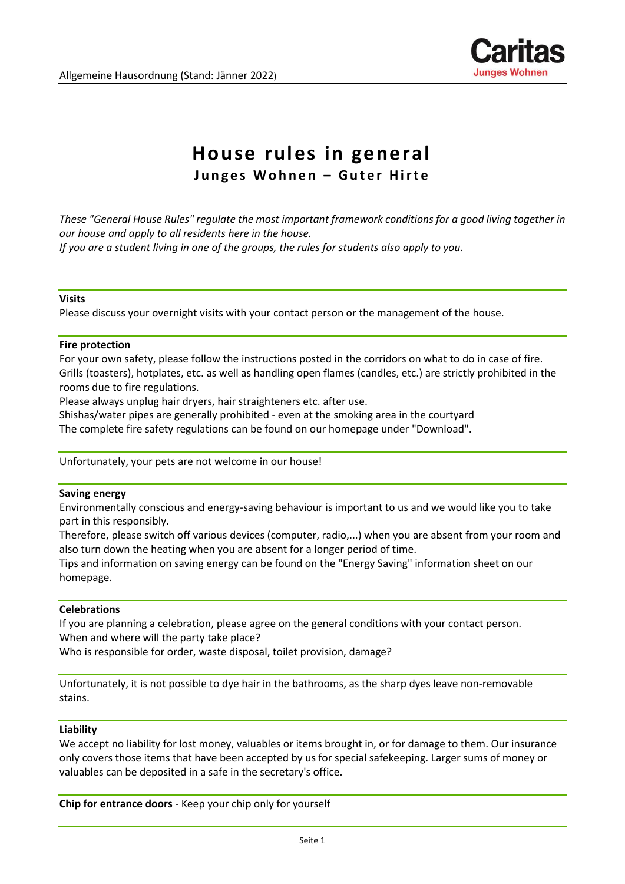

# **House rules in general**

**Junges Wohnen - Guter Hirte** 

*These "General House Rules" regulate the most important framework conditions for a good living together in our house and apply to all residents here in the house. If you are a student living in one of the groups, the rules for students also apply to you.*

**Visits**

Please discuss your overnight visits with your contact person or the management of the house.

#### **Fire protection**

For your own safety, please follow the instructions posted in the corridors on what to do in case of fire. Grills (toasters), hotplates, etc. as well as handling open flames (candles, etc.) are strictly prohibited in the rooms due to fire regulations.

Please always unplug hair dryers, hair straighteners etc. after use.

Shishas/water pipes are generally prohibited - even at the smoking area in the courtyard

The complete fire safety regulations can be found on our homepage under "Download".

Unfortunately, your pets are not welcome in our house!

#### **Saving energy**

Environmentally conscious and energy-saving behaviour is important to us and we would like you to take part in this responsibly.

Therefore, please switch off various devices (computer, radio,...) when you are absent from your room and also turn down the heating when you are absent for a longer period of time.

Tips and information on saving energy can be found on the "Energy Saving" information sheet on our homepage.

## **Celebrations**

If you are planning a celebration, please agree on the general conditions with your contact person. When and where will the party take place?

Who is responsible for order, waste disposal, toilet provision, damage?

Unfortunately, it is not possible to dye hair in the bathrooms, as the sharp dyes leave non-removable stains.

#### **Liability**

We accept no liability for lost money, valuables or items brought in, or for damage to them. Our insurance only covers those items that have been accepted by us for special safekeeping. Larger sums of money or valuables can be deposited in a safe in the secretary's office.

**Chip for entrance doors** - Keep your chip only for yourself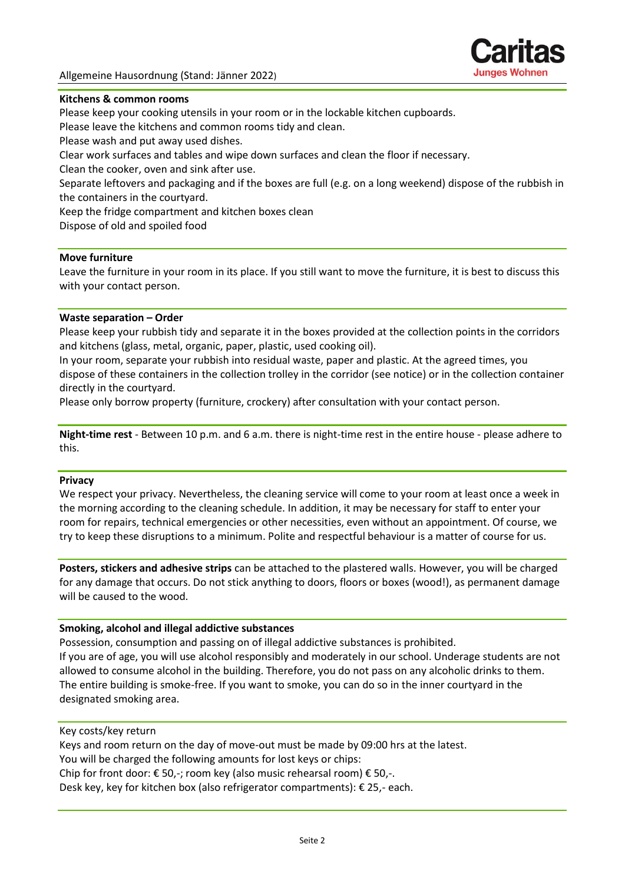

## **Kitchens & common rooms**

Please keep your cooking utensils in your room or in the lockable kitchen cupboards.

Please leave the kitchens and common rooms tidy and clean.

Please wash and put away used dishes.

Clear work surfaces and tables and wipe down surfaces and clean the floor if necessary.

Clean the cooker, oven and sink after use.

Separate leftovers and packaging and if the boxes are full (e.g. on a long weekend) dispose of the rubbish in the containers in the courtyard.

Keep the fridge compartment and kitchen boxes clean

Dispose of old and spoiled food

## **Move furniture**

Leave the furniture in your room in its place. If you still want to move the furniture, it is best to discuss this with your contact person.

## **Waste separation – Order**

Please keep your rubbish tidy and separate it in the boxes provided at the collection points in the corridors and kitchens (glass, metal, organic, paper, plastic, used cooking oil).

In your room, separate your rubbish into residual waste, paper and plastic. At the agreed times, you dispose of these containers in the collection trolley in the corridor (see notice) or in the collection container directly in the courtyard.

Please only borrow property (furniture, crockery) after consultation with your contact person.

**Night-time rest** - Between 10 p.m. and 6 a.m. there is night-time rest in the entire house - please adhere to this.

## **Privacy**

We respect your privacy. Nevertheless, the cleaning service will come to your room at least once a week in the morning according to the cleaning schedule. In addition, it may be necessary for staff to enter your room for repairs, technical emergencies or other necessities, even without an appointment. Of course, we try to keep these disruptions to a minimum. Polite and respectful behaviour is a matter of course for us.

**Posters, stickers and adhesive strips** can be attached to the plastered walls. However, you will be charged for any damage that occurs. Do not stick anything to doors, floors or boxes (wood!), as permanent damage will be caused to the wood.

## **Smoking, alcohol and illegal addictive substances**

Possession, consumption and passing on of illegal addictive substances is prohibited. If you are of age, you will use alcohol responsibly and moderately in our school. Underage students are not allowed to consume alcohol in the building. Therefore, you do not pass on any alcoholic drinks to them. The entire building is smoke-free. If you want to smoke, you can do so in the inner courtyard in the designated smoking area.

## Key costs/key return

Keys and room return on the day of move-out must be made by 09:00 hrs at the latest. You will be charged the following amounts for lost keys or chips: Chip for front door:  $\epsilon$  50,-; room key (also music rehearsal room)  $\epsilon$  50,-. Desk key, key for kitchen box (also refrigerator compartments): € 25,- each.